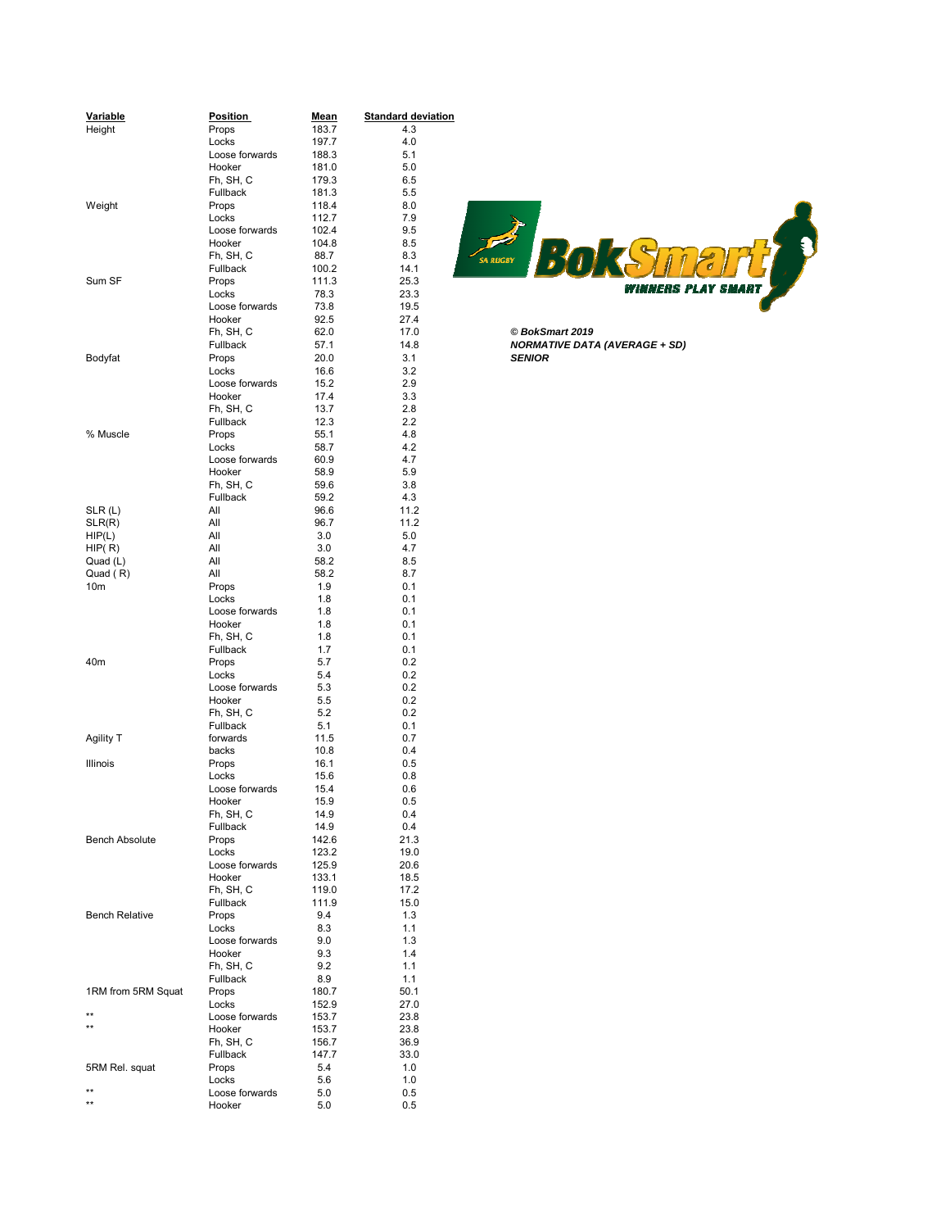| Variable                        | <b>Position</b> |                      | <b>Standard deviation</b> |                                      |
|---------------------------------|-----------------|----------------------|---------------------------|--------------------------------------|
| Height                          | Props           | <u>Mean</u><br>183.7 | 4.3                       |                                      |
|                                 | Locks           | 197.7                | 4.0                       |                                      |
|                                 | Loose forwards  | 188.3                | 5.1                       |                                      |
|                                 | Hooker          | 181.0                | 5.0                       |                                      |
|                                 | Fh, SH, C       | 179.3                | 6.5                       |                                      |
|                                 | Fullback        | 181.3                | 5.5                       |                                      |
| Weight                          | Props           | 118.4                | 8.0                       |                                      |
|                                 | Locks           | 112.7                | 7.9                       |                                      |
|                                 | Loose forwards  | 102.4                | 9.5                       |                                      |
|                                 | Hooker          | 104.8                | 8.5                       |                                      |
|                                 | Fh, SH, C       | 88.7                 | 8.3                       | <b>SA RUGBY</b>                      |
|                                 | Fullback        | 100.2                | 14.1                      |                                      |
| Sum SF                          | Props           | 111.3                | 25.3                      |                                      |
|                                 | Locks           | 78.3                 | 23.3                      | WINNERS                              |
|                                 | Loose forwards  | 73.8                 | 19.5                      |                                      |
|                                 | Hooker          | 92.5                 | 27.4                      |                                      |
|                                 | Fh, SH, C       | 62.0                 | 17.0                      | © BokSmart 2019                      |
|                                 | Fullback        | 57.1                 | 14.8                      | <b>NORMATIVE DATA (AVERAGE + SD)</b> |
| Bodyfat                         | Props           | 20.0                 | 3.1                       | <b>SENIOR</b>                        |
|                                 | Locks           | 16.6                 | 3.2                       |                                      |
|                                 | Loose forwards  | 15.2                 | 2.9                       |                                      |
|                                 | Hooker          | 17.4                 | 3.3                       |                                      |
|                                 | Fh, SH, C       | 13.7                 | 2.8                       |                                      |
|                                 | Fullback        | 12.3                 | 2.2                       |                                      |
| % Muscle                        | Props           | 55.1                 | 4.8                       |                                      |
|                                 | Locks           | 58.7                 | 4.2                       |                                      |
|                                 | Loose forwards  | 60.9                 | 4.7                       |                                      |
|                                 | Hooker          | 58.9                 | 5.9                       |                                      |
|                                 | Fh, SH, C       | 59.6                 | 3.8                       |                                      |
|                                 | Fullback        | 59.2                 | 4.3                       |                                      |
| SLR(L)                          | All             | 96.6                 | 11.2                      |                                      |
| SLR(R)                          | All             | 96.7                 | 11.2                      |                                      |
| HIP(L)                          | All             | 3.0                  | 5.0                       |                                      |
| HIP(R)                          | All             | 3.0                  | 4.7                       |                                      |
| Quad (L)                        | All             | 58.2                 | 8.5                       |                                      |
| Quad (R)                        | All             | 58.2                 | 8.7                       |                                      |
| 10 <sub>m</sub>                 | Props           | 1.9                  | 0.1                       |                                      |
|                                 | Locks           | 1.8                  | 0.1                       |                                      |
|                                 | Loose forwards  | 1.8                  | 0.1                       |                                      |
|                                 | Hooker          | 1.8                  | 0.1                       |                                      |
|                                 | Fh, SH, C       | 1.8                  | 0.1                       |                                      |
|                                 | Fullback        | 1.7                  | 0.1                       |                                      |
| 40m                             | Props           | 5.7                  | 0.2                       |                                      |
|                                 | Locks           | 5.4                  | 0.2                       |                                      |
|                                 | Loose forwards  | 5.3                  | 0.2                       |                                      |
|                                 | Hooker          | 5.5                  | 0.2                       |                                      |
|                                 | Fh, SH, C       | 5.2                  | 0.2                       |                                      |
|                                 | Fullback        | 5.1                  | 0.1                       |                                      |
| Agility T                       | forwards        | 11.5                 | 0.7                       |                                      |
|                                 | backs           | 10.8                 | 0.4                       |                                      |
| Illinois                        | Props           | 16.1                 | 0.5                       |                                      |
|                                 | Locks           | 15.6                 | 0.8                       |                                      |
|                                 | Loose forwards  | 15.4                 | 0.6                       |                                      |
|                                 | Hooker          | 15.9                 | 0.5                       |                                      |
|                                 | Fh, SH, C       | 14.9                 | 0.4                       |                                      |
|                                 | Fullback        | 14.9                 | 0.4                       |                                      |
| <b>Bench Absolute</b>           | Props           | 142.6                | 21.3                      |                                      |
|                                 | Locks           | 123.2                | 19.0                      |                                      |
|                                 | Loose forwards  | 125.9                | 20.6                      |                                      |
|                                 | Hooker          | 133.1                | 18.5                      |                                      |
|                                 | Fh, SH, C       | 119.0                | 17.2                      |                                      |
|                                 | Fullback        | 111.9                | 15.0                      |                                      |
| <b>Bench Relative</b>           | Props           | 9.4                  | 1.3                       |                                      |
|                                 | Locks           | 8.3                  | 1.1                       |                                      |
|                                 | Loose forwards  | 9.0                  | 1.3                       |                                      |
|                                 | Hooker          | 9.3                  | 1.4                       |                                      |
|                                 | Fh, SH, C       | 9.2                  | 1.1                       |                                      |
|                                 | Fullback        | 8.9                  | 1.1                       |                                      |
| 1RM from 5RM Squat              | Props           | 180.7                | 50.1                      |                                      |
|                                 | Locks           | 152.9                | 27.0                      |                                      |
| $^{\star\star}$<br>$\star\star$ | Loose forwards  | 153.7                | 23.8                      |                                      |
|                                 | Hooker          | 153.7                | 23.8                      |                                      |
|                                 | Fh, SH, C       | 156.7                | 36.9                      |                                      |
|                                 | Fullback        | 147.7                | 33.0                      |                                      |
| 5RM Rel. squat                  | Props           | 5.4                  | 1.0                       |                                      |
| $^{\star\star}$                 | Locks           | 5.6                  | 1.0                       |                                      |
|                                 | Loose forwards  | 5.0                  | 0.5                       |                                      |
| $^{\star\star}$                 | Hooker          | 5.0                  | 0.5                       |                                      |